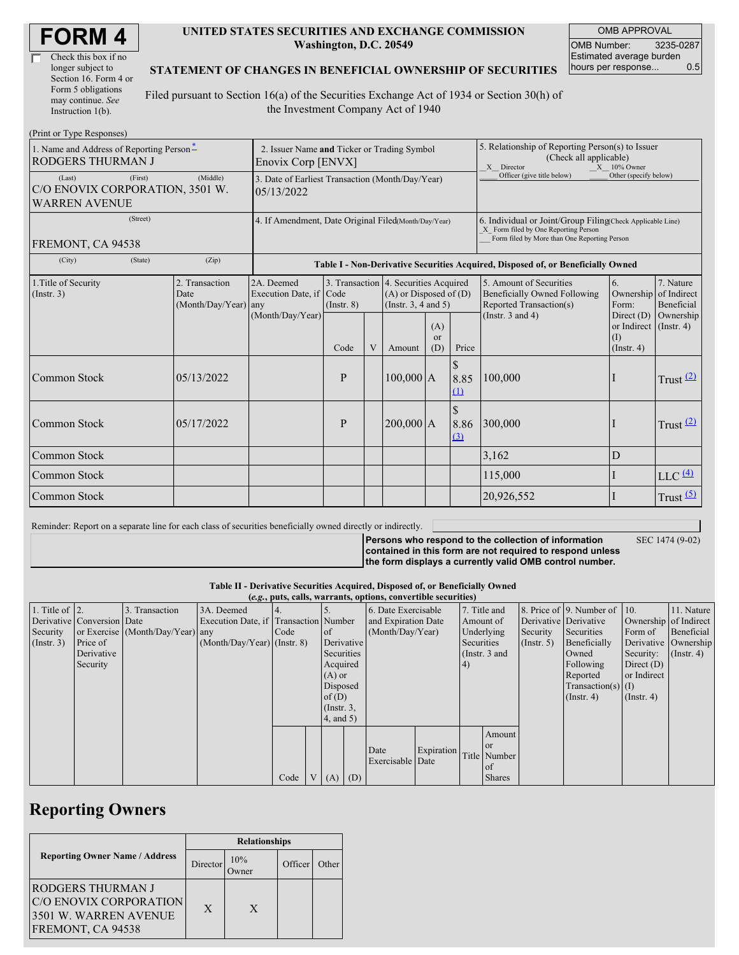| Check this box if no  |
|-----------------------|
| longer subject to     |
| Section 16. Form 4 or |
| Form 5 obligations    |
| may continue. See     |
| Instruction 1(b).     |

#### **UNITED STATES SECURITIES AND EXCHANGE COMMISSION Washington, D.C. 20549**

OMB APPROVAL OMB Number: 3235-0287 Estimated average burden hours per response... 0.5

### **STATEMENT OF CHANGES IN BENEFICIAL OWNERSHIP OF SECURITIES**

Filed pursuant to Section 16(a) of the Securities Exchange Act of 1934 or Section 30(h) of the Investment Company Act of 1940

| (Print or Type Responses)                                                    |                                                                   |                                                           |                                                                                  |                |                                                                                                 |                             |                                                                                                                                                    |                                                                                    |                                                              |                         |  |
|------------------------------------------------------------------------------|-------------------------------------------------------------------|-----------------------------------------------------------|----------------------------------------------------------------------------------|----------------|-------------------------------------------------------------------------------------------------|-----------------------------|----------------------------------------------------------------------------------------------------------------------------------------------------|------------------------------------------------------------------------------------|--------------------------------------------------------------|-------------------------|--|
| 1. Name and Address of Reporting Person-<br>RODGERS THURMAN J                | 2. Issuer Name and Ticker or Trading Symbol<br>Enovix Corp [ENVX] |                                                           |                                                                                  |                |                                                                                                 |                             | 5. Relationship of Reporting Person(s) to Issuer<br>(Check all applicable)<br>X Director<br>$X = 10\%$ Owner                                       |                                                                                    |                                                              |                         |  |
| (First)<br>(Last)<br>C/O ENOVIX CORPORATION, 3501 W.<br><b>WARREN AVENUE</b> | 3. Date of Earliest Transaction (Month/Day/Year)<br>05/13/2022    |                                                           |                                                                                  |                |                                                                                                 |                             | Officer (give title below)                                                                                                                         | Other (specify below)                                                              |                                                              |                         |  |
| (Street)<br>FREMONT, CA 94538                                                | 4. If Amendment, Date Original Filed(Month/Day/Year)              |                                                           |                                                                                  |                |                                                                                                 |                             | 6. Individual or Joint/Group Filing(Check Applicable Line)<br>X Form filed by One Reporting Person<br>Form filed by More than One Reporting Person |                                                                                    |                                                              |                         |  |
| (City)<br>(State)                                                            | (Zip)                                                             |                                                           | Table I - Non-Derivative Securities Acquired, Disposed of, or Beneficially Owned |                |                                                                                                 |                             |                                                                                                                                                    |                                                                                    |                                                              |                         |  |
| 1. Title of Security<br>(Insert. 3)                                          | 2. Transaction<br>Date<br>(Month/Day/Year) any                    | 2A. Deemed<br>Execution Date, if Code<br>(Month/Day/Year) | $($ Instr. $8)$                                                                  |                | 3. Transaction 4. Securities Acquired<br>$(A)$ or Disposed of $(D)$<br>(Instr. $3, 4$ and $5$ ) |                             |                                                                                                                                                    | 5. Amount of Securities<br>Beneficially Owned Following<br>Reported Transaction(s) | 6.<br>Ownership of Indirect<br>Form:                         | 7. Nature<br>Beneficial |  |
|                                                                              |                                                                   |                                                           | Code                                                                             | $\overline{V}$ | Amount                                                                                          | (A)<br><sub>or</sub><br>(D) | Price                                                                                                                                              | (Instr. $3$ and $4$ )                                                              | Direct $(D)$<br>or Indirect (Instr. 4)<br>(I)<br>(Insert, 4) | Ownership               |  |
| Common Stock                                                                 | 05/13/2022                                                        |                                                           | P                                                                                |                | 100,000 A                                                                                       |                             | $\mathbb{S}$<br>8.85<br>(1)                                                                                                                        | 100,000                                                                            |                                                              | Trust $(2)$             |  |
| Common Stock                                                                 | 05/17/2022                                                        |                                                           | P                                                                                |                | 200,000 A                                                                                       |                             | 8.86<br>(3)                                                                                                                                        | 300,000                                                                            |                                                              | Trust $(2)$             |  |
| Common Stock                                                                 |                                                                   |                                                           |                                                                                  |                |                                                                                                 |                             |                                                                                                                                                    | 3,162                                                                              | D                                                            |                         |  |
| Common Stock                                                                 |                                                                   |                                                           |                                                                                  |                |                                                                                                 |                             |                                                                                                                                                    | 115,000                                                                            |                                                              | $LLC$ $(4)$             |  |
| Common Stock                                                                 |                                                                   |                                                           |                                                                                  |                |                                                                                                 |                             |                                                                                                                                                    | 20,926,552                                                                         |                                                              | Trust $(5)$             |  |

Reminder: Report on a separate line for each class of securities beneficially owned directly or indirectly.

**Persons who respond to the collection of information contained in this form are not required to respond unless the form displays a currently valid OMB control number.**

SEC 1474 (9-02)

**Table II - Derivative Securities Acquired, Disposed of, or Beneficially Owned**

|                        | (e.g., puts, calls, warrants, options, convertible securities) |                                  |                                       |      |  |                  |  |                                        |  |              |                 |                  |                          |                       |                      |
|------------------------|----------------------------------------------------------------|----------------------------------|---------------------------------------|------|--|------------------|--|----------------------------------------|--|--------------|-----------------|------------------|--------------------------|-----------------------|----------------------|
| 1. Title of $\vert$ 2. |                                                                | 3. Transaction                   | 3A. Deemed                            |      |  |                  |  | 6. Date Exercisable                    |  | 7. Title and |                 |                  | 8. Price of 9. Number of | $\vert$ 10.           | 11. Nature           |
|                        | Derivative Conversion Date                                     |                                  | Execution Date, if Transaction Number |      |  |                  |  | and Expiration Date                    |  | Amount of    |                 |                  | Derivative Derivative    | Ownership of Indirect |                      |
| Security               |                                                                | or Exercise (Month/Day/Year) any |                                       | Code |  | of               |  | (Month/Day/Year)                       |  | Underlying   |                 | Security         | Securities               | Form of               | Beneficial           |
| $($ Instr. 3 $)$       | Price of                                                       |                                  | $(Month/Day/Year)$ (Instr. 8)         |      |  | Derivative       |  |                                        |  | Securities   |                 | $($ Instr. 5 $)$ | Beneficially             |                       | Derivative Ownership |
|                        | Derivative                                                     |                                  |                                       |      |  | Securities       |  |                                        |  |              | (Instr. $3$ and |                  | Owned                    | Security:             | $($ Instr. 4)        |
|                        | Security                                                       |                                  |                                       |      |  | Acquired         |  |                                        |  | (4)          |                 |                  | Following                | Direct $(D)$          |                      |
|                        |                                                                |                                  |                                       |      |  | $(A)$ or         |  |                                        |  |              |                 |                  | Reported                 | or Indirect           |                      |
|                        |                                                                |                                  |                                       |      |  | Disposed         |  |                                        |  |              |                 |                  | $Transaction(s)$ (I)     |                       |                      |
|                        |                                                                |                                  |                                       |      |  | of $(D)$         |  |                                        |  |              |                 |                  | $($ Instr. 4 $)$         | $($ Instr. 4)         |                      |
|                        |                                                                |                                  |                                       |      |  | $($ Instr. $3$ , |  |                                        |  |              |                 |                  |                          |                       |                      |
|                        |                                                                |                                  |                                       |      |  | 4, and 5)        |  |                                        |  |              |                 |                  |                          |                       |                      |
|                        |                                                                |                                  |                                       |      |  |                  |  |                                        |  |              | Amount          |                  |                          |                       |                      |
|                        |                                                                |                                  |                                       |      |  |                  |  |                                        |  |              | <b>or</b>       |                  |                          |                       |                      |
|                        |                                                                |                                  |                                       |      |  |                  |  | Expiration<br>Date<br>Exercisable Date |  | Title Number |                 |                  |                          |                       |                      |
|                        |                                                                |                                  |                                       |      |  |                  |  |                                        |  |              | l of            |                  |                          |                       |                      |
|                        |                                                                |                                  |                                       | Code |  | $V(A)$ (D)       |  |                                        |  |              | <b>Shares</b>   |                  |                          |                       |                      |

# **Reporting Owners**

|                                                                                                  | <b>Relationships</b> |             |         |                    |  |  |  |
|--------------------------------------------------------------------------------------------------|----------------------|-------------|---------|--------------------|--|--|--|
| <b>Reporting Owner Name / Address</b>                                                            | Director             | 10%<br>wner | Officer | Other <sup>'</sup> |  |  |  |
| <b>RODGERS THURMAN J</b><br>C/O ENOVIX CORPORATION<br>3501 W. WARREN AVENUE<br>FREMONT, CA 94538 | $\mathbf{x}$         | X           |         |                    |  |  |  |